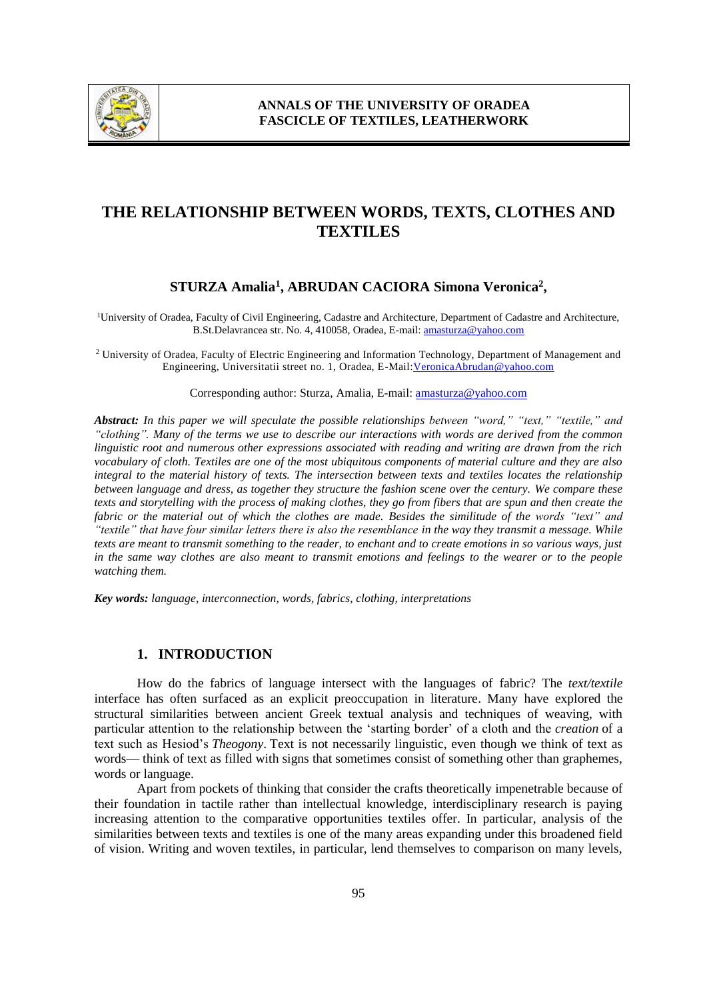

# **THE RELATIONSHIP BETWEEN WORDS, TEXTS, CLOTHES AND TEXTILES**

# **STURZA Amalia<sup>1</sup> , ABRUDAN CACIORA Simona Veronica<sup>2</sup> ,**

<sup>1</sup>University of Oradea, Faculty of Civil Engineering, Cadastre and Architecture, Department of Cadastre and Architecture, B.St.Delavrancea str. No. 4, 410058, Oradea, E-mail: amasturza@yahoo.com

<sup>2</sup> University of Oradea, Faculty of Electric Engineering and Information Technology, Department of Management and Engineering, Universitatii street no. 1, Oradea, E-Mail:VeronicaAbrudan@yahoo.com

#### Corresponding author: Sturza, Amalia, E-mail: amasturza@yahoo.com

*Abstract: In this paper we will speculate the possible relationships between "word," "text," "textile," and "clothing". Many of the terms we use to describe our interactions with words are derived from the common linguistic root and numerous other expressions associated with reading and writing are drawn from the rich vocabulary of cloth. Textiles are one of the most ubiquitous components of material culture and they are also integral to the material history of texts. The intersection between texts and textiles locates the relationship between language and dress, as together they structure the fashion scene over the century. We compare these texts and storytelling with the process of making clothes, they go from fibers that are spun and then create the fabric or the material out of which the clothes are made. Besides the similitude of the words "text" and "textile" that have four similar letters there is also the resemblance in the way they transmit a message. While texts are meant to transmit something to the reader, to enchant and to create emotions in so various ways, just in the same way clothes are also meant to transmit emotions and feelings to the wearer or to the people watching them.* 

*Key words: language, interconnection, words, fabrics, clothing, interpretations*

### **1. INTRODUCTION**

How do the fabrics of language intersect with the languages of fabric? The *text/textile* interface has often surfaced as an explicit preoccupation in literature. Many have explored the structural similarities between ancient Greek textual analysis and techniques of weaving, with particular attention to the relationship between the 'starting border' of a cloth and the *creation* of a text such as Hesiod's *Theogony*. Text is not necessarily linguistic, even though we think of text as words— think of text as filled with signs that sometimes consist of something other than graphemes, words or language.

Apart from pockets of thinking that consider the crafts theoretically impenetrable because of their foundation in tactile rather than intellectual knowledge, interdisciplinary research is paying increasing attention to the comparative opportunities textiles offer. In particular, analysis of the similarities between texts and textiles is one of the many areas expanding under this broadened field of vision. Writing and woven textiles, in particular, lend themselves to comparison on many levels,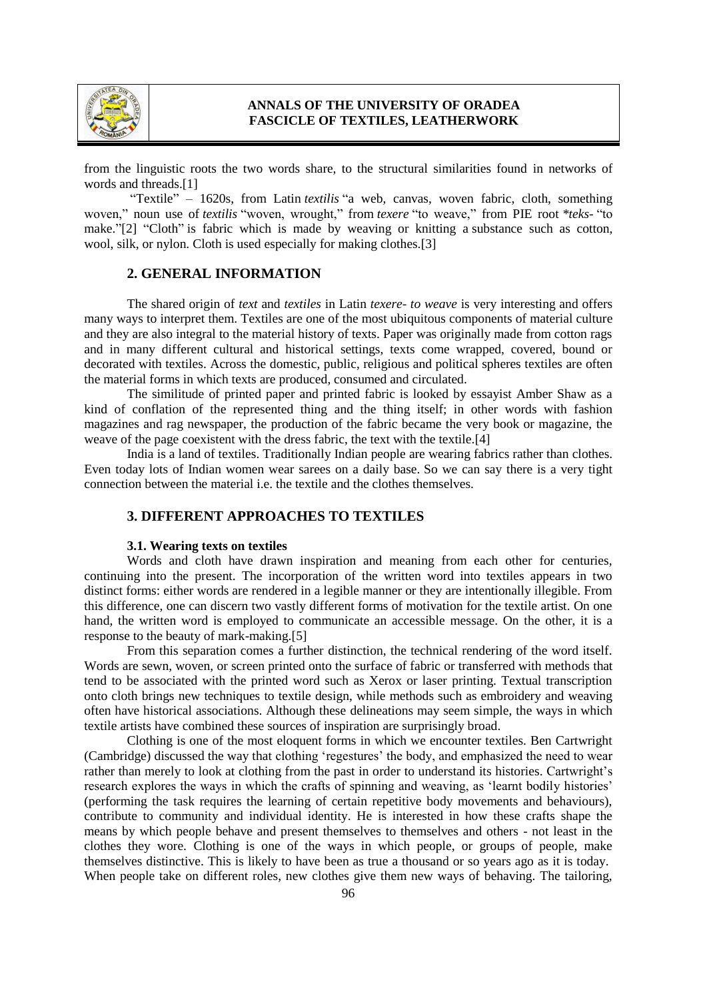

# **ANNALS OF THE UNIVERSITY OF ORADEA FASCICLE OF TEXTILES, LEATHERWORK**

from the linguistic roots the two words share, to the structural similarities found in networks of words and threads.[1]

"Textile" – 1620s, from Latin *textilis* "a web, canvas, woven fabric, cloth, something woven," noun use of *textilis* "woven, wrought," from *texere* "to weave," from PIE root *\*teks-* "to make."[2] "Cloth" is fabric which is made by weaving or knitting a [substance](https://www.collinsdictionary.com/dictionary/english/substance) such as cotton, wool, [silk,](https://www.collinsdictionary.com/dictionary/english/silk) or [nylon.](https://www.collinsdictionary.com/dictionary/english/nylon) Cloth is used [especially](https://www.collinsdictionary.com/dictionary/english/especially) for making clothes.[3]

### **2. GENERAL INFORMATION**

The shared origin of *text* and *textiles* in Latin *texere- to weave* is very interesting and offers many ways to interpret them. Textiles are one of the most ubiquitous components of material culture and they are also integral to the material history of texts. Paper was originally made from cotton rags and in many different cultural and historical settings, texts come wrapped, covered, bound or decorated with textiles. Across the domestic, public, religious and political spheres textiles are often the material forms in which texts are produced, consumed and circulated.

The similitude of printed paper and printed fabric is looked by essayist Amber Shaw as a kind of conflation of the represented thing and the thing itself; in other words with fashion magazines and rag newspaper, the production of the fabric became the very book or magazine, the weave of the page coexistent with the dress fabric, the text with the textile.[4]

India is a land of textiles. Traditionally Indian people are wearing fabrics rather than clothes. Even today lots of Indian women wear sarees on a daily base. So we can say there is a very tight connection between the material i.e. the textile and the clothes themselves.

# **3. DIFFERENT APPROACHES TO TEXTILES**

#### **3.1. Wearing texts on textiles**

Words and cloth have drawn inspiration and meaning from each other for centuries, continuing into the present. The incorporation of the written word into textiles appears in two distinct forms: either words are rendered in a legible manner or they are intentionally illegible. From this difference, one can discern two vastly different forms of motivation for the textile artist. On one hand, the written word is employed to communicate an accessible message. On the other, it is a response to the beauty of mark-making.[5]

From this separation comes a further distinction, the technical rendering of the word itself. Words are sewn, woven, or screen printed onto the surface of fabric or transferred with methods that tend to be associated with the printed word such as Xerox or laser printing. Textual transcription onto cloth brings new techniques to textile design, while methods such as embroidery and weaving often have historical associations. Although these delineations may seem simple, the ways in which textile artists have combined these sources of inspiration are surprisingly broad.

Clothing is one of the most eloquent forms in which we encounter textiles. Ben Cartwright (Cambridge) discussed the way that clothing 'regestures' the body, and emphasized the need to wear rather than merely to look at clothing from the past in order to understand its histories. Cartwright's research explores the ways in which the crafts of spinning and weaving, as 'learnt bodily histories' (performing the task requires the learning of certain repetitive body movements and behaviours), contribute to community and individual identity. He is interested in how these crafts shape the means by which people behave and present themselves to themselves and others - not least in the clothes they wore. Clothing is one of the ways in which people, or groups of people, make themselves distinctive. This is likely to have been as true a thousand or so years ago as it is today. When people take on different roles, new clothes give them new ways of behaving. The tailoring,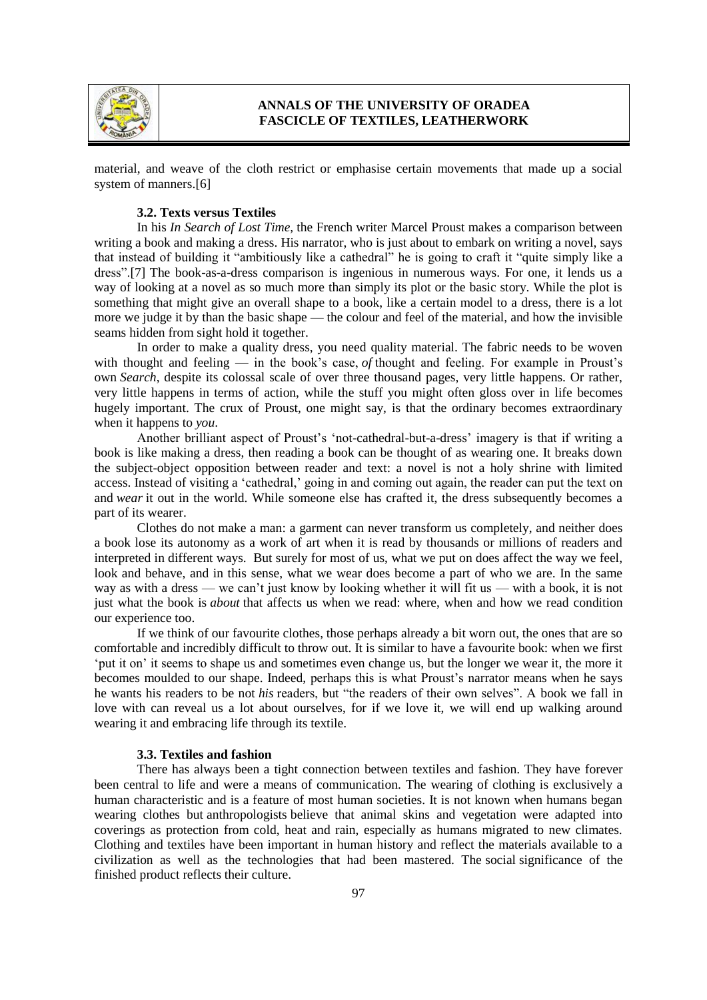

# **ANNALS OF THE UNIVERSITY OF ORADEA FASCICLE OF TEXTILES, LEATHERWORK**

material, and weave of the cloth restrict or emphasise certain movements that made up a social system of manners.[6]

### **3.2. Texts versus Textiles**

In his *In Search of Lost Time,* the French writer Marcel Proust makes a comparison between writing a book and making a dress. His narrator, who is just about to embark on writing a novel, says that instead of building it "ambitiously like a cathedral" he is going to craft it "quite simply like a dress".[7] The book-as-a-dress comparison is ingenious in numerous ways. For one, it lends us a way of looking at a novel as so much more than simply its plot or the basic story. While the plot is something that might give an overall shape to a book, like a certain model to a dress, there is a lot more we judge it by than the basic shape — the colour and feel of the material, and how the invisible seams hidden from sight hold it together.

In order to make a quality dress, you need quality material. The fabric needs to be woven with thought and feeling — in the book's case, *of* thought and feeling. For example in Proust's own *Search*, despite its colossal scale of over three thousand pages, very little happens. Or rather, very little happens in terms of action, while the stuff you might often gloss over in life becomes hugely important. The crux of Proust, one might say, is that the ordinary becomes extraordinary when it happens to *you*.

Another brilliant aspect of Proust's 'not-cathedral-but-a-dress' imagery is that if writing a book is like making a dress, then reading a book can be thought of as wearing one. It breaks down the subject-object opposition between reader and text: a novel is not a holy shrine with limited access. Instead of visiting a 'cathedral,' going in and coming out again, the reader can put the text on and *wear* it out in the world. While someone else has crafted it, the dress subsequently becomes a part of its wearer.

Clothes do not make a man: a garment can never transform us completely, and neither does a book lose its autonomy as a work of art when it is read by thousands or millions of readers and interpreted in different ways. But surely for most of us, what we put on does affect the way we feel, look and behave, and in this sense, what we wear does become a part of who we are. In the same way as with a dress — we can't just know by looking whether it will fit us — with a book, it is not just what the book is *about* that affects us when we read: where, when and how we read condition our experience too.

If we think of our favourite clothes, those perhaps already a bit worn out, the ones that are so comfortable and incredibly difficult to throw out. It is similar to have a favourite book: when we first 'put it on' it seems to shape us and sometimes even change us, but the longer we wear it, the more it becomes moulded to our shape. Indeed, perhaps this is what Proust's narrator means when he says he wants his readers to be not *his* readers, but "the readers of their own selves". A book we fall in love with can reveal us a lot about ourselves, for if we love it, we will end up walking around wearing it and embracing life through its textile.

### **3.3. Textiles and fashion**

There has always been a tight connection between textiles and fashion. They have forever been central to life and were a means of communication. The wearing of clothing is exclusively a human characteristic and is a feature of most human societies. It is not known when humans began wearing clothes but [anthropologists](https://en.wikipedia.org/wiki/Anthropology) believe that animal skins and vegetation were adapted into coverings as protection from cold, heat and rain, especially as humans migrated to new climates. Clothing and textiles have been important in human history and reflect the materials available to a civilization as well as the technologies that had been mastered. The [social](https://en.wikipedia.org/wiki/Social) significance of the finished product reflects their [culture.](https://en.wikipedia.org/wiki/Culture)